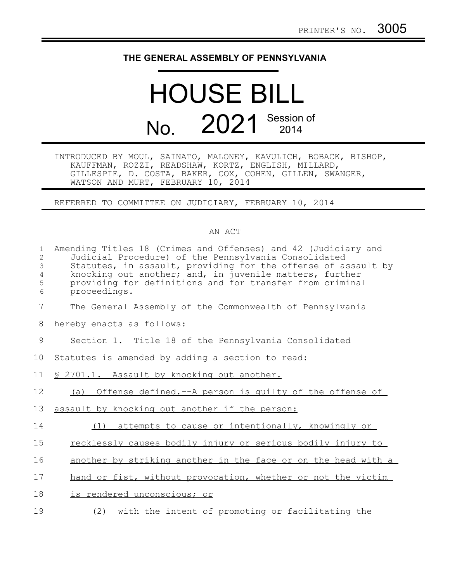## **THE GENERAL ASSEMBLY OF PENNSYLVANIA**

## HOUSE BILL No. 2021 Session of

INTRODUCED BY MOUL, SAINATO, MALONEY, KAVULICH, BOBACK, BISHOP, KAUFFMAN, ROZZI, READSHAW, KORTZ, ENGLISH, MILLARD, GILLESPIE, D. COSTA, BAKER, COX, COHEN, GILLEN, SWANGER, WATSON AND MURT, FEBRUARY 10, 2014

REFERRED TO COMMITTEE ON JUDICIARY, FEBRUARY 10, 2014

## AN ACT

| $\mathbf{1}$<br>$\overline{2}$<br>3<br>$\overline{4}$<br>5<br>6 | Amending Titles 18 (Crimes and Offenses) and 42 (Judiciary and<br>Judicial Procedure) of the Pennsylvania Consolidated<br>Statutes, in assault, providing for the offense of assault by<br>knocking out another; and, in juvenile matters, further<br>providing for definitions and for transfer from criminal<br>proceedings. |
|-----------------------------------------------------------------|--------------------------------------------------------------------------------------------------------------------------------------------------------------------------------------------------------------------------------------------------------------------------------------------------------------------------------|
| 7                                                               | The General Assembly of the Commonwealth of Pennsylvania                                                                                                                                                                                                                                                                       |
| 8                                                               | hereby enacts as follows:                                                                                                                                                                                                                                                                                                      |
| 9                                                               | Section 1. Title 18 of the Pennsylvania Consolidated                                                                                                                                                                                                                                                                           |
| 10                                                              | Statutes is amended by adding a section to read:                                                                                                                                                                                                                                                                               |
| 11                                                              | \$ 2701.1. Assault by knocking out another.                                                                                                                                                                                                                                                                                    |
| 12                                                              | (a) Offense defined.--A person is guilty of the offense of                                                                                                                                                                                                                                                                     |
| 13                                                              | assault by knocking out another if the person:                                                                                                                                                                                                                                                                                 |
| 14                                                              | attempts to cause or intentionally, knowingly or<br>(1)                                                                                                                                                                                                                                                                        |
| 15                                                              | recklessly causes bodily injury or serious bodily injury to                                                                                                                                                                                                                                                                    |
| 16                                                              | another by striking another in the face or on the head with a                                                                                                                                                                                                                                                                  |
| 17                                                              | hand or fist, without provocation, whether or not the victim                                                                                                                                                                                                                                                                   |
| 18                                                              | is rendered unconscious; or                                                                                                                                                                                                                                                                                                    |
| 19                                                              | (2) with the intent of promoting or facilitating the                                                                                                                                                                                                                                                                           |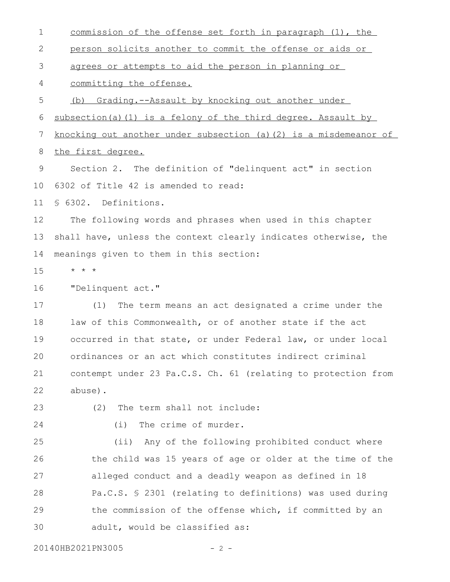commission of the offense set forth in paragraph (1), the person solicits another to commit the offense or aids or agrees or attempts to aid the person in planning or committing the offense. (b) Grading.--Assault by knocking out another under subsection(a)(1) is a felony of the third degree. Assault by knocking out another under subsection (a)(2) is a misdemeanor of the first degree. Section 2. The definition of "delinquent act" in section 6302 of Title 42 is amended to read: § 6302. Definitions. The following words and phrases when used in this chapter shall have, unless the context clearly indicates otherwise, the meanings given to them in this section: \* \* \* "Delinquent act." (1) The term means an act designated a crime under the law of this Commonwealth, or of another state if the act occurred in that state, or under Federal law, or under local ordinances or an act which constitutes indirect criminal contempt under 23 Pa.C.S. Ch. 61 (relating to protection from abuse). (2) The term shall not include: (i) The crime of murder. (ii) Any of the following prohibited conduct where the child was 15 years of age or older at the time of the alleged conduct and a deadly weapon as defined in 18 Pa.C.S. § 2301 (relating to definitions) was used during the commission of the offense which, if committed by an adult, would be classified as: 1 2 3 4 5 6 7 8 9 10 11 12 13 14 15 16 17 18 19 20 21 22 23 24 25 26 27 28 29 30

20140HB2021PN3005 - 2 -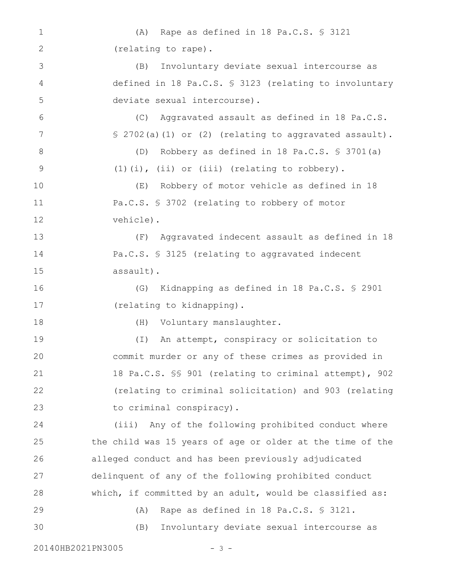(A) Rape as defined in 18 Pa.C.S. § 3121 (relating to rape). (B) Involuntary deviate sexual intercourse as defined in 18 Pa.C.S. § 3123 (relating to involuntary deviate sexual intercourse). (C) Aggravated assault as defined in 18 Pa.C.S. § 2702(a)(1) or (2) (relating to aggravated assault). (D) Robbery as defined in 18 Pa.C.S. § 3701(a) (1)(i), (ii) or (iii) (relating to robbery). (E) Robbery of motor vehicle as defined in 18 Pa.C.S. § 3702 (relating to robbery of motor vehicle). (F) Aggravated indecent assault as defined in 18 Pa.C.S. § 3125 (relating to aggravated indecent assault). (G) Kidnapping as defined in 18 Pa.C.S. § 2901 (relating to kidnapping). (H) Voluntary manslaughter. (I) An attempt, conspiracy or solicitation to commit murder or any of these crimes as provided in 18 Pa.C.S. §§ 901 (relating to criminal attempt), 902 (relating to criminal solicitation) and 903 (relating to criminal conspiracy). (iii) Any of the following prohibited conduct where the child was 15 years of age or older at the time of the alleged conduct and has been previously adjudicated delinquent of any of the following prohibited conduct which, if committed by an adult, would be classified as: (A) Rape as defined in 18 Pa.C.S. § 3121. (B) Involuntary deviate sexual intercourse as 1 2 3 4 5 6 7 8 9 10 11 12 13 14 15 16 17 18 19 20 21 22 23 24 25 26 27 28 29 30

20140HB2021PN3005 - 3 -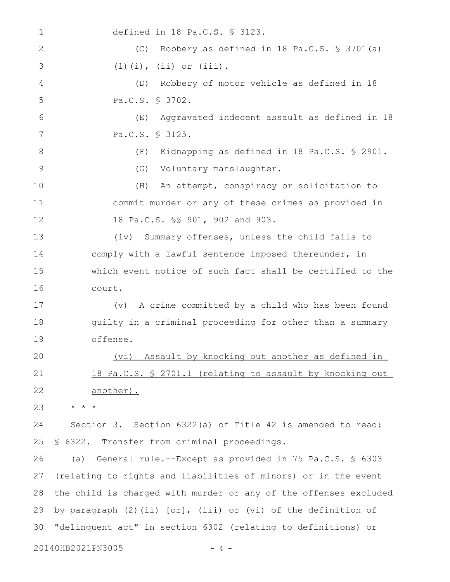defined in 18 Pa.C.S. § 3123. (C) Robbery as defined in 18 Pa.C.S. § 3701(a) (1)(i), (ii) or (iii). (D) Robbery of motor vehicle as defined in 18 Pa.C.S. § 3702. (E) Aggravated indecent assault as defined in 18 Pa.C.S. § 3125. (F) Kidnapping as defined in 18 Pa.C.S. § 2901. (G) Voluntary manslaughter. (H) An attempt, conspiracy or solicitation to commit murder or any of these crimes as provided in 18 Pa.C.S. §§ 901, 902 and 903. (iv) Summary offenses, unless the child fails to comply with a lawful sentence imposed thereunder, in which event notice of such fact shall be certified to the court. (v) A crime committed by a child who has been found guilty in a criminal proceeding for other than a summary offense. (vi) Assault by knocking out another as defined in 18 Pa.C.S. § 2701.1 (relating to assault by knocking out another). \* \* \* Section 3. Section 6322(a) of Title 42 is amended to read: § 6322. Transfer from criminal proceedings. (a) General rule.--Except as provided in 75 Pa.C.S. § 6303 (relating to rights and liabilities of minors) or in the event the child is charged with murder or any of the offenses excluded by paragraph (2)(ii)  $[or]_L$  (iii) or (vi) of the definition of "delinquent act" in section 6302 (relating to definitions) or 1 2 3 4 5 6 7 8 9 10 11 12 13 14 15 16 17 18 19 20 21 22 23 24 25 26 27 28 29 30

20140HB2021PN3005 - 4 -